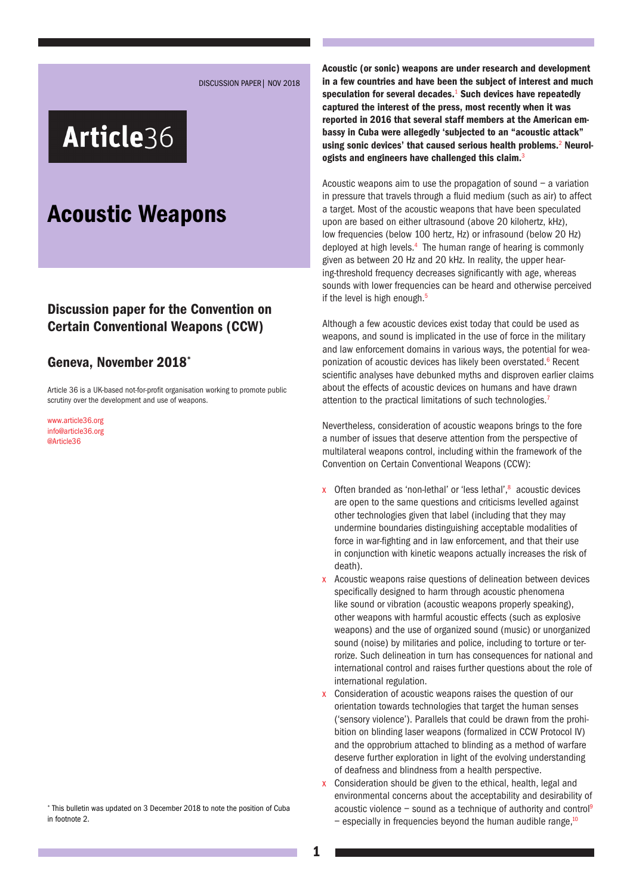DISCUSSION PAPER| NOV 2018

# Article36

## Acoustic Weapons

#### Discussion paper for the Convention on Certain Conventional Weapons (CCW)

#### Geneva, November 2018\*

Article 36 is a UK-based not-for-profit organisation working to promote public scrutiny over the development and use of weapons.

[www.article36.org](http://www.article36.org) [info@article36.org](mailto:info@article36.org) [@Article36](mailto:@Article36)

\* This bulletin was updated on 3 December 2018 to note the position of Cuba in footnote 2.

Acoustic (or sonic) weapons are under research and development in a few countries and have been the subject of interest and much speculation for several decades. $1$  Such devices have repeatedly captured the interest of the press, most recently when it was reported in 2016 that several staff members at the American embassy in Cuba were allegedly 'subjected to an "acoustic attack" using sonic devices' that caused serious health problems.<sup>2</sup> Neurologists and engineers have challenged this claim.<sup>3</sup>

Acoustic weapons aim to use the propagation of sound  $-$  a variation in pressure that travels through a fluid medium (such as air) to affect a target. Most of the acoustic weapons that have been speculated upon are based on either ultrasound (above 20 kilohertz, kHz), low frequencies (below 100 hertz, Hz) or infrasound (below 20 Hz) deployed at high levels.<sup>4</sup> The human range of hearing is commonly given as between 20 Hz and 20 kHz. In reality, the upper hearing-threshold frequency decreases significantly with age, whereas sounds with lower frequencies can be heard and otherwise perceived if the level is high enough.<sup>5</sup>

Although a few acoustic devices exist today that could be used as weapons, and sound is implicated in the use of force in the military and law enforcement domains in various ways, the potential for weaponization of acoustic devices has likely been overstated.<sup>6</sup> Recent scientific analyses have debunked myths and disproven earlier claims about the effects of acoustic devices on humans and have drawn attention to the practical limitations of such technologies.<sup>7</sup>

Nevertheless, consideration of acoustic weapons brings to the fore a number of issues that deserve attention from the perspective of multilateral weapons control, including within the framework of the Convention on Certain Conventional Weapons (CCW):

- $x$  Often branded as 'non-lethal' or 'less lethal', $8$  acoustic devices are open to the same questions and criticisms levelled against other technologies given that label (including that they may undermine boundaries distinguishing acceptable modalities of force in war-fighting and in law enforcement, and that their use in conjunction with kinetic weapons actually increases the risk of death).
- x Acoustic weapons raise questions of delineation between devices specifically designed to harm through acoustic phenomena like sound or vibration (acoustic weapons properly speaking), other weapons with harmful acoustic effects (such as explosive weapons) and the use of organized sound (music) or unorganized sound (noise) by militaries and police, including to torture or terrorize. Such delineation in turn has consequences for national and international control and raises further questions about the role of international regulation.
- x Consideration of acoustic weapons raises the question of our orientation towards technologies that target the human senses ('sensory violence'). Parallels that could be drawn from the prohibition on blinding laser weapons (formalized in CCW Protocol IV) and the opprobrium attached to blinding as a method of warfare deserve further exploration in light of the evolving understanding of deafness and blindness from a health perspective.
- x Consideration should be given to the ethical, health, legal and environmental concerns about the acceptability and desirability of acoustic violence – sound as a technique of authority and control<sup>9</sup> – especially in frequencies beyond the human audible range, $10$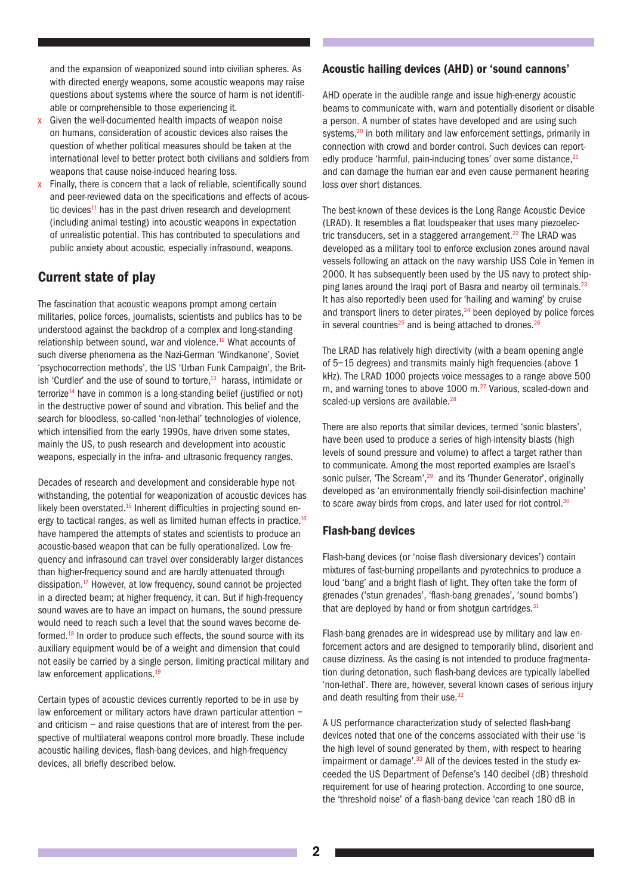and the expansion of weaponized sound into civilian spheres. As with directed energy weapons, some acoustic weapons may raise questions about systems where the source of harm is not identifiable or comprehensible to those experiencing it.

- x Given the well-documented health impacts of weapon noise on humans, consideration of acoustic devices also raises the question of whether political measures should be taken at the international level to better protect both civilians and soldiers from weapons that cause noise-induced hearing loss.
- $x$  Finally, there is concern that a lack of reliable, scientifically sound and peer-reviewed data on the specifications and effects of acoustic devices<sup>11</sup> has in the past driven research and development (including animal testing) into acoustic weapons in expectation of unrealistic potential. This has contributed to speculations and public anxiety about acoustic, especially infrasound, weapons.

### Current state of play

The fascination that acoustic weapons prompt among certain militaries, police forces, journalists, scientists and publics has to be understood against the backdrop of a complex and long-standing relationship between sound, war and violence.<sup>12</sup> What accounts of such diverse phenomena as the Nazi-German 'Windkanone', Soviet 'psychocorrection methods', the US 'Urban Funk Campaign', the British 'Curdler' and the use of sound to torture,<sup>13</sup> harass, intimidate or terrorize<sup>14</sup> have in common is a long-standing belief (justified or not) in the destructive power of sound and vibration. This belief and the search for bloodless, so-called 'non-lethal' technologies of violence, which intensified from the early 1990s, have driven some states, mainly the US, to push research and development into acoustic weapons, especially in the infra- and ultrasonic frequency ranges.

Decades of research and development and considerable hype notwithstanding, the potential for weaponization of acoustic devices has likely been overstated.<sup>15</sup> Inherent difficulties in projecting sound energy to tactical ranges, as well as limited human effects in practice.<sup>16</sup> have hampered the attempts of states and scientists to produce an acoustic-based weapon that can be fully operationalized. Low frequency and infrasound can travel over considerably larger distances than higher-frequency sound and are hardly attenuated through dissipation.17 However, at low frequency, sound cannot be projected in a directed beam; at higher frequency, it can. But if high-frequency sound waves are to have an impact on humans, the sound pressure would need to reach such a level that the sound waves become deformed.<sup>18</sup> In order to produce such effects, the sound source with its auxiliary equipment would be of a weight and dimension that could not easily be carried by a single person, limiting practical military and law enforcement applications.<sup>19</sup>

Certain types of acoustic devices currently reported to be in use by law enforcement or military actors have drawn particular attention – and criticism – and raise questions that are of interest from the perspective of multilateral weapons control more broadly. These include acoustic hailing devices, flash-bang devices, and high-frequency devices, all briefly described below.

#### Acoustic hailing devices (AHD) or 'sound cannons'

AHD operate in the audible range and issue high-energy acoustic beams to communicate with, warn and potentially disorient or disable a person. A number of states have developed and are using such systems,<sup>20</sup> in both military and law enforcement settings, primarily in connection with crowd and border control. Such devices can reportedly produce 'harmful, pain-inducing tones' over some distance.<sup>21</sup> and can damage the human ear and even cause permanent hearing loss over short distances.

The best-known of these devices is the Long Range Acoustic Device (LRAD). It resembles a flat loudspeaker that uses many piezoelectric transducers, set in a staggered arrangement.<sup>22</sup> The LRAD was developed as a military tool to enforce exclusion zones around naval vessels following an attack on the navy warship USS Cole in Yemen in 2000. It has subsequently been used by the US navy to protect shipping lanes around the Iraqi port of Basra and nearby oil terminals.<sup>23</sup> It has also reportedly been used for 'hailing and warning' by cruise and transport liners to deter pirates, $24$  been deployed by police forces in several countries<sup>25</sup> and is being attached to drones.<sup>26</sup>

The LRAD has relatively high directivity (with a beam opening angle of 5–15 degrees) and transmits mainly high frequencies (above 1 kHz). The LRAD 1000 projects voice messages to a range above 500 m, and warning tones to above 1000 m.<sup>27</sup> Various, scaled-down and scaled-up versions are available.<sup>28</sup>

There are also reports that similar devices, termed 'sonic blasters', have been used to produce a series of high-intensity blasts (high levels of sound pressure and volume) to affect a target rather than to communicate. Among the most reported examples are Israel's sonic pulser, 'The Scream',<sup>29</sup> and its 'Thunder Generator', originally developed as 'an environmentally friendly soil-disinfection machine' to scare away birds from crops, and later used for riot control.<sup>30</sup>

#### Flash-bang devices

Flash-bang devices (or 'noise flash diversionary devices') contain mixtures of fast-burning propellants and pyrotechnics to produce a loud 'bang' and a bright flash of light. They often take the form of grenades ('stun grenades', 'flash-bang grenades', 'sound bombs') that are deployed by hand or from shotgun cartridges. $31$ 

Flash-bang grenades are in widespread use by military and law enforcement actors and are designed to temporarily blind, disorient and cause dizziness. As the casing is not intended to produce fragmentation during detonation, such flash-bang devices are typically labelled 'non-lethal'. There are, however, several known cases of serious injury and death resulting from their use.<sup>32</sup>

A US performance characterization study of selected flash-bang devices noted that one of the concerns associated with their use 'is the high level of sound generated by them, with respect to hearing impairment or damage'.<sup>33</sup> All of the devices tested in the study exceeded the US Department of Defense's 140 decibel (dB) threshold requirement for use of hearing protection. According to one source, the 'threshold noise' of a flash-bang device 'can reach 180 dB in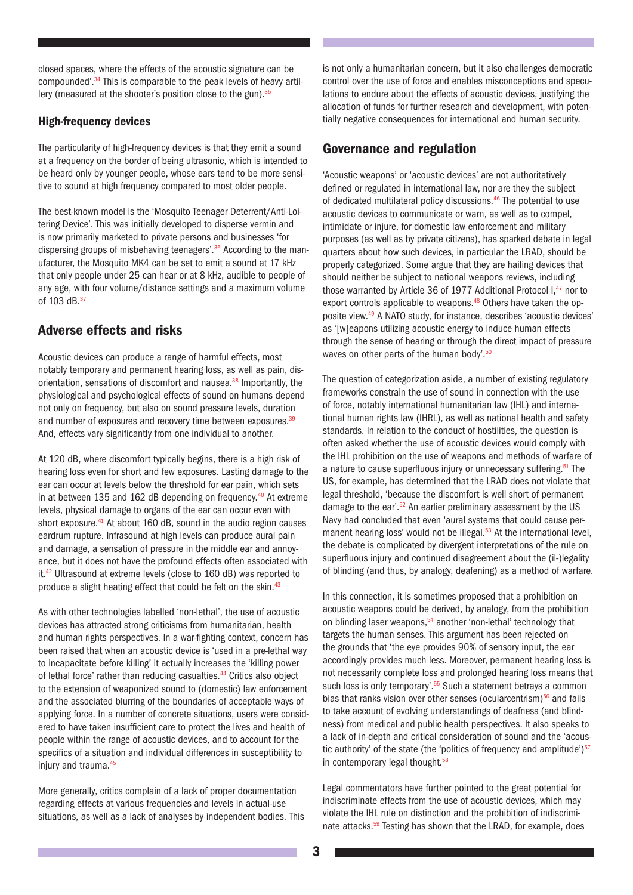closed spaces, where the effects of the acoustic signature can be compounded'.34 This is comparable to the peak levels of heavy artillery (measured at the shooter's position close to the gun).<sup>35</sup>

#### High-frequency devices

The particularity of high-frequency devices is that they emit a sound at a frequency on the border of being ultrasonic, which is intended to be heard only by younger people, whose ears tend to be more sensitive to sound at high frequency compared to most older people.

The best-known model is the 'Mosquito Teenager Deterrent/Anti-Loitering Device'. This was initially developed to disperse vermin and is now primarily marketed to private persons and businesses 'for dispersing groups of misbehaving teenagers'.36 According to the manufacturer, the Mosquito MK4 can be set to emit a sound at 17 kHz that only people under 25 can hear or at 8 kHz, audible to people of any age, with four volume/distance settings and a maximum volume of  $103$  dB.<sup>37</sup>

#### Adverse effects and risks

Acoustic devices can produce a range of harmful effects, most notably temporary and permanent hearing loss, as well as pain, disorientation, sensations of discomfort and nausea.<sup>38</sup> Importantly, the physiological and psychological effects of sound on humans depend not only on frequency, but also on sound pressure levels, duration and number of exposures and recovery time between exposures.<sup>39</sup> And, effects vary significantly from one individual to another.

At 120 dB, where discomfort typically begins, there is a high risk of hearing loss even for short and few exposures. Lasting damage to the ear can occur at levels below the threshold for ear pain, which sets in at between 135 and 162 dB depending on frequency.<sup>40</sup> At extreme levels, physical damage to organs of the ear can occur even with short exposure.<sup>41</sup> At about 160 dB, sound in the audio region causes eardrum rupture. Infrasound at high levels can produce aural pain and damage, a sensation of pressure in the middle ear and annoyance, but it does not have the profound effects often associated with it.<sup>42</sup> Ultrasound at extreme levels (close to 160 dB) was reported to produce a slight heating effect that could be felt on the skin.<sup>43</sup>

As with other technologies labelled 'non-lethal', the use of acoustic devices has attracted strong criticisms from humanitarian, health and human rights perspectives. In a war-fighting context, concern has been raised that when an acoustic device is 'used in a pre-lethal way to incapacitate before killing' it actually increases the 'killing power of lethal force' rather than reducing casualties.<sup>44</sup> Critics also object to the extension of weaponized sound to (domestic) law enforcement and the associated blurring of the boundaries of acceptable ways of applying force. In a number of concrete situations, users were considered to have taken insufficient care to protect the lives and health of people within the range of acoustic devices, and to account for the specifics of a situation and individual differences in susceptibility to injury and trauma.45

More generally, critics complain of a lack of proper documentation regarding effects at various frequencies and levels in actual-use situations, as well as a lack of analyses by independent bodies. This

is not only a humanitarian concern, but it also challenges democratic control over the use of force and enables misconceptions and speculations to endure about the effects of acoustic devices, justifying the allocation of funds for further research and development, with potentially negative consequences for international and human security.

#### Governance and regulation

'Acoustic weapons' or 'acoustic devices' are not authoritatively defined or regulated in international law, nor are they the subject of dedicated multilateral policy discussions.<sup>46</sup> The potential to use acoustic devices to communicate or warn, as well as to compel, intimidate or injure, for domestic law enforcement and military purposes (as well as by private citizens), has sparked debate in legal quarters about how such devices, in particular the LRAD, should be properly categorized. Some argue that they are hailing devices that should neither be subject to national weapons reviews, including those warranted by Article 36 of 1977 Additional Protocol I,<sup>47</sup> nor to export controls applicable to weapons.<sup>48</sup> Others have taken the opposite view.49 A NATO study, for instance, describes 'acoustic devices' as '[w]eapons utilizing acoustic energy to induce human effects through the sense of hearing or through the direct impact of pressure waves on other parts of the human body'.<sup>50</sup>

The question of categorization aside, a number of existing regulatory frameworks constrain the use of sound in connection with the use of force, notably international humanitarian law (IHL) and international human rights law (IHRL), as well as national health and safety standards. In relation to the conduct of hostilities, the question is often asked whether the use of acoustic devices would comply with the IHL prohibition on the use of weapons and methods of warfare of a nature to cause superfluous injury or unnecessary suffering.<sup>51</sup> The US, for example, has determined that the LRAD does not violate that legal threshold, 'because the discomfort is well short of permanent damage to the ear'.<sup>52</sup> An earlier preliminary assessment by the US Navy had concluded that even 'aural systems that could cause permanent hearing loss' would not be illegal.<sup>53</sup> At the international level, the debate is complicated by divergent interpretations of the rule on superfluous injury and continued disagreement about the (il-)legality of blinding (and thus, by analogy, deafening) as a method of warfare.

In this connection, it is sometimes proposed that a prohibition on acoustic weapons could be derived, by analogy, from the prohibition on blinding laser weapons,<sup>54</sup> another 'non-lethal' technology that targets the human senses. This argument has been rejected on the grounds that 'the eye provides 90% of sensory input, the ear accordingly provides much less. Moreover, permanent hearing loss is not necessarily complete loss and prolonged hearing loss means that such loss is only temporary'.<sup>55</sup> Such a statement betrays a common bias that ranks vision over other senses (ocularcentrism) $56$  and fails to take account of evolving understandings of deafness (and blindness) from medical and public health perspectives. It also speaks to a lack of in-depth and critical consideration of sound and the 'acoustic authority' of the state (the 'politics of frequency and amplitude') $57$ in contemporary legal thought. $58$ 

Legal commentators have further pointed to the great potential for indiscriminate effects from the use of acoustic devices, which may violate the IHL rule on distinction and the prohibition of indiscriminate attacks.<sup>59</sup> Testing has shown that the LRAD, for example, does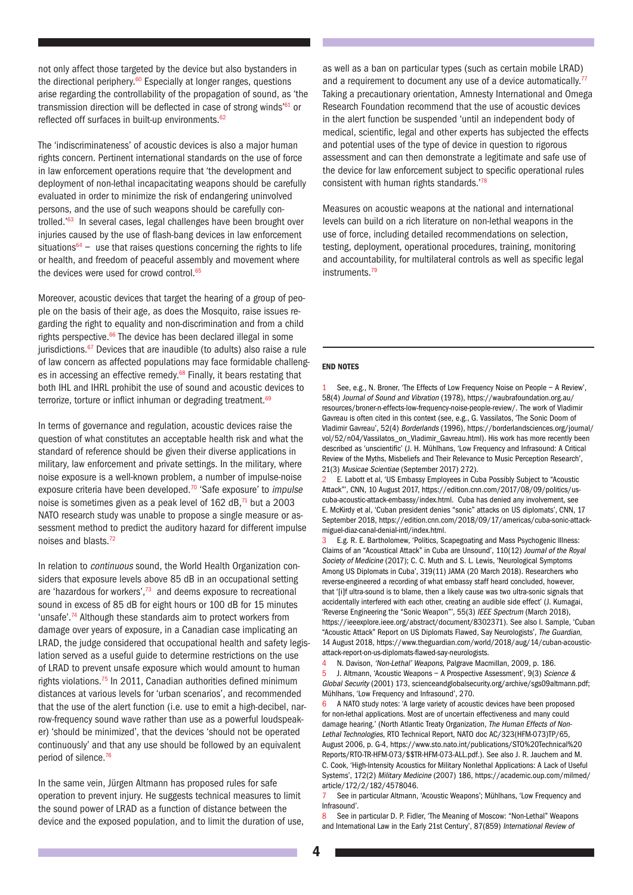not only affect those targeted by the device but also bystanders in the directional periphery.<sup>60</sup> Especially at longer ranges, questions arise regarding the controllability of the propagation of sound, as 'the transmission direction will be deflected in case of strong winds'61 or reflected off surfaces in built-up environments.<sup>62</sup>

The 'indiscriminateness' of acoustic devices is also a major human rights concern. Pertinent international standards on the use of force in law enforcement operations require that 'the development and deployment of non-lethal incapacitating weapons should be carefully evaluated in order to minimize the risk of endangering uninvolved persons, and the use of such weapons should be carefully controlled.'<sup>63</sup> In several cases, legal challenges have been brought over injuries caused by the use of flash-bang devices in law enforcement situations $64 -$  use that raises questions concerning the rights to life or health, and freedom of peaceful assembly and movement where the devices were used for crowd control.<sup>65</sup>

Moreover, acoustic devices that target the hearing of a group of people on the basis of their age, as does the Mosquito, raise issues regarding the right to equality and non-discrimination and from a child rights perspective. $66$  The device has been declared illegal in some jurisdictions. $67$  Devices that are inaudible (to adults) also raise a rule of law concern as affected populations may face formidable challenges in accessing an effective remedy.<sup>68</sup> Finally, it bears restating that both IHL and IHRL prohibit the use of sound and acoustic devices to terrorize, torture or inflict inhuman or degrading treatment.<sup>69</sup>

In terms of governance and regulation, acoustic devices raise the question of what constitutes an acceptable health risk and what the standard of reference should be given their diverse applications in military, law enforcement and private settings. In the military, where noise exposure is a well-known problem, a number of impulse-noise exposure criteria have been developed.<sup>70</sup> 'Safe exposure' to *impulse* noise is sometimes given as a peak level of  $162$  dB, $<sup>71</sup>$  but a 2003</sup> NATO research study was unable to propose a single measure or assessment method to predict the auditory hazard for different impulse noises and blasts.72

In relation to continuous sound, the World Health Organization considers that exposure levels above 85 dB in an occupational setting are 'hazardous for workers', $73$  and deems exposure to recreational sound in excess of 85 dB for eight hours or 100 dB for 15 minutes 'unsafe'.<sup>74</sup> Although these standards aim to protect workers from damage over years of exposure, in a Canadian case implicating an LRAD, the judge considered that occupational health and safety legislation served as a useful guide to determine restrictions on the use of LRAD to prevent unsafe exposure which would amount to human rights violations.<sup>75</sup> In 2011, Canadian authorities defined minimum distances at various levels for 'urban scenarios', and recommended that the use of the alert function (i.e. use to emit a high-decibel, narrow-frequency sound wave rather than use as a powerful loudspeaker) 'should be minimized', that the devices 'should not be operated continuously' and that any use should be followed by an equivalent period of silence.<sup>76</sup>

In the same vein, Jürgen Altmann has proposed rules for safe operation to prevent injury. He suggests technical measures to limit the sound power of LRAD as a function of distance between the device and the exposed population, and to limit the duration of use,

as well as a ban on particular types (such as certain mobile LRAD) and a requirement to document any use of a device automatically.<sup>77</sup> Taking a precautionary orientation, Amnesty International and Omega Research Foundation recommend that the use of acoustic devices in the alert function be suspended 'until an independent body of medical, scientific, legal and other experts has subjected the effects and potential uses of the type of device in question to rigorous assessment and can then demonstrate a legitimate and safe use of the device for law enforcement subject to specific operational rules consistent with human rights standards.<sup>78</sup>

Measures on acoustic weapons at the national and international levels can build on a rich literature on non-lethal weapons in the use of force, including detailed recommendations on selection, testing, deployment, operational procedures, training, monitoring and accountability, for multilateral controls as well as specific legal instruments.79

#### END NOTES

See, e.g., N. Broner, 'The Effects of Low Frequency Noise on People - A Review', 58(4) Journal of Sound and Vibration (1978), [https://waubrafoundation.org.au/](https://waubrafoundation.org.au/resources/broner-n-effects-low-frequency-noise-people-review/) [resources/broner-n-effects-low-frequency-noise-people-review/](https://waubrafoundation.org.au/resources/broner-n-effects-low-frequency-noise-people-review/). The work of Vladimir Gavreau is often cited in this context (see, e.g., G. Vassilatos, 'The Sonic Doom of Vladimir Gavreau', 52(4) Borderlands (1996), [https://borderlandsciences.org/journal/](https://borderlandsciences.org/journal/vol/52/n04/Vassilatos_on_Vladimir_Gavreau.html) [vol/52/n04/Vassilatos\\_on\\_Vladimir\\_Gavreau.html](https://borderlandsciences.org/journal/vol/52/n04/Vassilatos_on_Vladimir_Gavreau.html)). His work has more recently been described as 'unscientific' (J. H. Mühlhans, 'Low Frequency and Infrasound: A Critical Review of the Myths, Misbeliefs and Their Relevance to Music Perception Research', 21(3) Musicae Scientiae (September 2017) 272).

2 E. Labott et al, 'US Embassy Employees in Cuba Possibly Subject to "Acoustic Attack"', CNN, 10 August 2017, h[ttps://edition.cnn.com/2017/08/09/politics/us](ttps://edition.cnn.com/2017/08/09/politics/us-cuba-acoustic-attack-embassy/index.html)[cuba-acoustic-attack-embassy/index.html.](ttps://edition.cnn.com/2017/08/09/politics/us-cuba-acoustic-attack-embassy/index.html) Cuba has denied any involvement, see E. McKirdy et al, 'Cuban president denies "sonic" attacks on US diplomats', CNN, 17 September 2018, [https://edition.cnn.com/2018/09/17/americas/cuba-sonic-attack](https://edition.cnn.com/2018/09/17/americas/cuba-sonic-attack-miguel-diaz-canal-denial-intl/index.html)[miguel-diaz-canal-denial-intl/index.html.](https://edition.cnn.com/2018/09/17/americas/cuba-sonic-attack-miguel-diaz-canal-denial-intl/index.html)

3 E.g. R. E. Bartholomew, 'Politics, Scapegoating and Mass Psychogenic Illness: Claims of an "Acoustical Attack" in Cuba are Unsound', 110(12) Journal of the Royal Society of Medicine (2017); C. C. Muth and S. L. Lewis, 'Neurological Symptoms Among US Diplomats in Cuba', 319(11) JAMA (20 March 2018). Researchers who reverse-engineered a recording of what embassy staff heard concluded, however, that '[i]f ultra-sound is to blame, then a likely cause was two ultra-sonic signals that accidentally interfered with each other, creating an audible side effect' (J. Kumagai, 'Reverse Engineering the "Sonic Weapon"', 55(3) IEEE Spectrum (March 2018), [https://ieeexplore.ieee.org/abstract/document/8302371\)](https://ieeexplore.ieee.org/abstract/document/8302371). See also I. Sample, 'Cuban "Acoustic Attack" Report on US Diplomats Flawed, Say Neurologists', The Guardian, 14 August 2018, [https://www.theguardian.com/world/2018/aug/14/cuban-acoustic](https://www.theguardian.com/world/2018/aug/14/cuban-acoustic-attack-report-on-us-diplomats-flawed-say-neurologists)[attack-report-on-us-diplomats-flawed-say-neurologists](https://www.theguardian.com/world/2018/aug/14/cuban-acoustic-attack-report-on-us-diplomats-flawed-say-neurologists).

4 N. Davison, 'Non-Lethal' Weapons, Palgrave Macmillan, 2009, p. 186. 5 J. Altmann, 'Acoustic Weapons – A Prospective Assessment', 9(3) Science & Global Security (2001) 173, [scienceandglobalsecurity.org/archive/sgs09altmann.pdf](http://scienceandglobalsecurity.org/archive/sgs09altmann.pdf); Mühlhans, 'Low Frequency and Infrasound', 270.

6 A NATO study notes: 'A large variety of acoustic devices have been proposed for non-lethal applications. Most are of uncertain effectiveness and many could damage hearing.' (North Atlantic Treaty Organization, The Human Effects of Non-Lethal Technologies, RTO Technical Report, NATO doc AC/323(HFM-073)TP/65, August 2006, p. G-4, [https://www.sto.nato.int/publications/STO%20Technical%20](https://www.sto.nato.int/publications/STO%20Technical%20Reports/RTO-TR-HFM-073/$$TR-HFM-073-ALL.pdf) [Reports/RTO-TR-HFM-073/\\$\\$TR-HFM-073-ALL.pdf](https://www.sto.nato.int/publications/STO%20Technical%20Reports/RTO-TR-HFM-073/$$TR-HFM-073-ALL.pdf).). See also J. R. Jauchem and M. C. Cook, 'High-Intensity Acoustics for Military Nonlethal Applications: A Lack of Useful Systems', 172(2) Military Medicine (2007) 186, [https://academic.oup.com/milmed/](https://academic.oup.com/milmed/article/172/2/182/4578046) [article/172/2/182/4578046.](https://academic.oup.com/milmed/article/172/2/182/4578046)

7 See in particular Altmann, 'Acoustic Weapons'; Mühlhans, 'Low Frequency and Infrasound'.

8 See in particular D. P. Fidler, 'The Meaning of Moscow: "Non-Lethal" Weapons and International Law in the Early 21st Century', 87(859) International Review of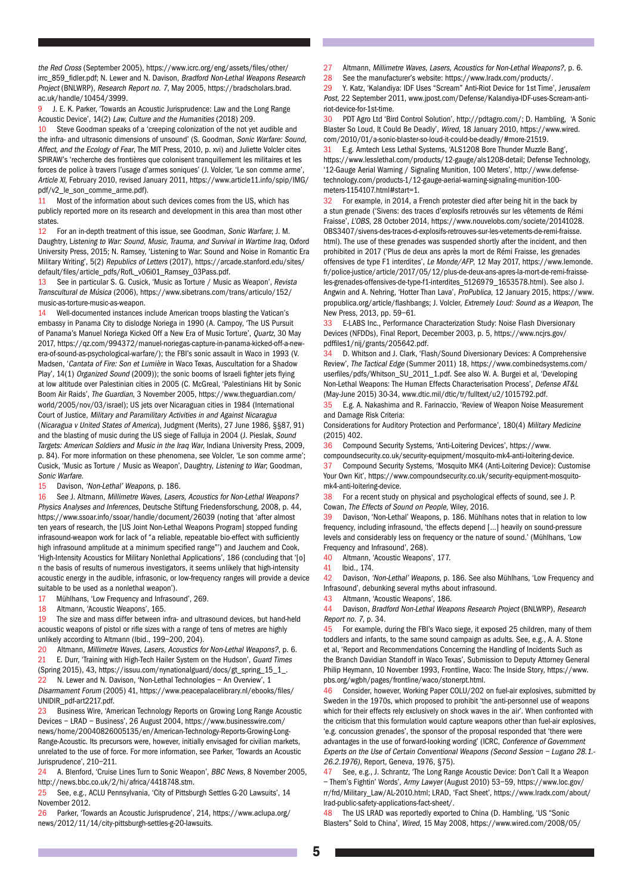the Red Cross (September 2005), [https://www.icrc.org/eng/assets/files/other/](https://www.icrc.org/eng/assets/files/other/irrc_859_fidler.pdf) irrc\_859\_fidler.pdf: N. Lewer and N. Davison, Bradford Non-Lethal Weapons Research Project (BNLWRP), Research Report no. 7, May 2005, [https://bradscholars.brad.](https://bradscholars.brad.ac.uk/handle/10454/3999) [ac.uk/handle/10454/3999.](https://bradscholars.brad.ac.uk/handle/10454/3999)

9 J. E. K. Parker, 'Towards an Acoustic Jurisprudence: Law and the Long Range Acoustic Device', 14(2) Law, Culture and the Humanities (2018) 209.

10 Steve Goodman speaks of a 'creeping colonization of the not yet audible and the infra- and ultrasonic dimensions of unsound' (S. Goodman, Sonic Warfare: Sound, Affect, and the Ecology of Fear, The MIT Press, 2010, p. xvi) and Juliette Volcler cites SPIRAW's 'recherche des frontières que colonisent tranquillement les militaires et les forces de police à travers l'usage d'armes soniques' (J. Volcler, 'Le son comme arme', Article XI, February 2010, revised January 2011, [https://www.article11.info/spip/IMG/](https://www.article11.info/spip/IMG/pdf/v2_le_son_comme_arme.pdf) [pdf/v2\\_le\\_son\\_comme\\_arme.pdf\)](https://www.article11.info/spip/IMG/pdf/v2_le_son_comme_arme.pdf).

11 Most of the information about such devices comes from the US, which has publicly reported more on its research and development in this area than most other states.

12 For an in-depth treatment of this issue, see Goodman, Sonic Warfare; J. M. Daughtry, Listening to War: Sound, Music, Trauma, and Survival in Wartime Iraq, Oxford University Press, 2015; N. Ramsey, 'Listening to War: Sound and Noise in Romantic Era Military Writing', 5(2) Republics of Letters (2017), [https://arcade.stanford.edu/sites/](https://arcade.stanford.edu/sites/default/files/article_pdfs/RofL_v06i01_Ramsey_03Pass.pdf) [default/files/article\\_pdfs/RofL\\_v06i01\\_Ramsey\\_03Pass.pdf](https://arcade.stanford.edu/sites/default/files/article_pdfs/RofL_v06i01_Ramsey_03Pass.pdf).

13 See in particular S. G. Cusick, 'Music as Torture / Music as Weapon', Revista Transcultural de Música (2006), [https://www.sibetrans.com/trans/articulo/152/](https://www.sibetrans.com/trans/articulo/152/music-as-torture-music-as-weapon) [music-as-torture-music-as-weapon](https://www.sibetrans.com/trans/articulo/152/music-as-torture-music-as-weapon).

14 Well-documented instances include American troops blasting the Vatican's embassy in Panama City to dislodge Noriega in 1990 (A. Campoy, 'The US Pursuit of Panama's Manuel Noriega Kicked Off a New Era of Music Torture', Quartz, 30 May 2017, [https://qz.com/994372/manuel-noriegas-capture-in-panama-kicked-off-a-new](https://qz.com/994372/manuel-noriegas-capture-in-panama-kicked-off-a-new-era-of-sound-as-psychological-warfare/)[era-of-sound-as-psychological-warfare/](https://qz.com/994372/manuel-noriegas-capture-in-panama-kicked-off-a-new-era-of-sound-as-psychological-warfare/)); the FBI's sonic assault in Waco in 1993 (V. Madsen, 'Cantata of Fire: Son et Lumière in Waco Texas, Auscultation for a Shadow Play', 14(1) Organized Sound (2009)); the sonic booms of Israeli fighter jets flying at low altitude over Palestinian cities in 2005 (C. McGreal, 'Palestinians Hit by Sonic Boom Air Raids', The Guardian, 3 November 2005, [https://www.theguardian.com/](https://www.theguardian.com/world/2005/nov/03/israel) [world/2005/nov/03/israel](https://www.theguardian.com/world/2005/nov/03/israel)); US jets over Nicaraguan cities in 1984 (International Court of Justice, Military and Paramilitary Activities in and Against Nicaragua (Nicaragua v United States of America), Judgment (Merits), 27 June 1986, §§87, 91) and the blasting of music during the US siege of Falluja in 2004 (J. Pieslak, Sound Targets: American Soldiers and Music in the Iraq War, Indiana University Press, 2009, p. 84). For more information on these phenomena, see Volcler, 'Le son comme arme'; Cusick, 'Music as Torture / Music as Weapon', Daughtry, Listening to War; Goodman, Sonic Warfare.

15 Davison, 'Non-Lethal' Weapons, p. 186.

16 See J. Altmann, Millimetre Waves, Lasers, Acoustics for Non-Lethal Weapons? Physics Analyses and Inferences, Deutsche Stiftung Friedensforschung, 2008, p. 44, <https://www.ssoar.info/ssoar/handle/document/26039> (noting that 'after almost ten years of research, the [US Joint Non-Lethal Weapons Program] stopped funding infrasound-weapon work for lack of "a reliable, repeatable bio-effect with sufficiently high infrasound amplitude at a minimum specified range"') and Jauchem and Cook, 'High-Intensity Acoustics for Military Nonlethal Applications', 186 (concluding that '[o] n the basis of results of numerous investigators, it seems unlikely that high-intensity acoustic energy in the audible, infrasonic, or low-frequency ranges will provide a device suitable to be used as a nonlethal weapon').

17 Mühlhans, 'Low Frequency and Infrasound', 269.

18 Altmann, 'Acoustic Weapons', 165.

19 The size and mass differ between infra- and ultrasound devices, but hand-held acoustic weapons of pistol or rifle sizes with a range of tens of metres are highly unlikely according to Altmann (Ibid., 199–200, 204).

20 Altmann, Millimetre Waves, Lasers, Acoustics for Non-Lethal Weapons?, p. 6. 21 E. Durr, 'Training with High-Tech Hailer System on the Hudson', Guard Times (Spring 2015), 43, [https://issuu.com/nynationalguard/docs/gt\\_spring\\_15\\_1\\_.](https://issuu.com/nynationalguard/docs/gt_spring_15_1_)

22 N. Lewer and N. Davison, 'Non-Lethal Technologies - An Overview', 1 Disarmament Forum (2005) 41, [https://www.peacepalacelibrary.nl/ebooks/files/](https://www.peacepalacelibrary.nl/ebooks/files/UNIDIR_pdf-art2217.pdf) [UNIDIR\\_pdf-art2217.pdf](https://www.peacepalacelibrary.nl/ebooks/files/UNIDIR_pdf-art2217.pdf).

23 Business Wire, 'American Technology Reports on Growing Long Range Acoustic Devices – LRAD – Business', 26 August 2004, [https://www.businesswire.com/](https://www.businesswire.com/news/home/20040826005135/en/American-Technology-Reports-Growing-Long-Range-Acoustic) [news/home/20040826005135/en/American-Technology-Reports-Growing-Long-](https://www.businesswire.com/news/home/20040826005135/en/American-Technology-Reports-Growing-Long-Range-Acoustic)[Range-Acoustic.](https://www.businesswire.com/news/home/20040826005135/en/American-Technology-Reports-Growing-Long-Range-Acoustic) Its precursors were, however, initially envisaged for civilian markets, unrelated to the use of force. For more information, see Parker, 'Towards an Acoustic Jurisprudence', 210–211.

24 A. Blenford, 'Cruise Lines Turn to Sonic Weapon', BBC News, 8 November 2005, <http://news.bbc.co.uk/2/hi/africa/4418748.stm>.

25 See, e.g., ACLU Pennsylvania, 'City of Pittsburgh Settles G-20 Lawsuits', 14 November 2012.

26 Parker, 'Towards an Acoustic Jurisprudence', 214, [https://www.aclupa.org/](https://www.aclupa.org/news/2012/11/14/city-pittsburgh-settles-g-20-lawsuits) [news/2012/11/14/city-pittsburgh-settles-g-20-lawsuits](https://www.aclupa.org/news/2012/11/14/city-pittsburgh-settles-g-20-lawsuits).

27 Altmann, Millimetre Waves, Lasers, Acoustics for Non-Lethal Weapons?, p. 6.

28 See the manufacturer's website: [https://www.lradx.com/products/.](https://www.lradx.com/products/)

29 Y. Katz, 'Kalandiya: IDF Uses "Scream" Anti-Riot Device for 1st Time', Jerusalem Post, 22 September 2011, [www.jpost.com/Defense/Kalandiya-IDF-uses-Scream-anti](http://www.jpost.com/Defense/Kalandiya-IDF-uses-Scream-anti-riot-device-for-1st-time)[riot-device-for-1st-time.](http://www.jpost.com/Defense/Kalandiya-IDF-uses-Scream-anti-riot-device-for-1st-time)

30 PDT Agro Ltd 'Bird Control Solution', [http://pdtagro.com/;](http://pdtagro.com/) D. Hambling, 'A Sonic Blaster So Loud, It Could Be Deadly', Wired, 18 January 2010, [https://www.wired.](https://www.wired.com/2010/01/a-sonic-blaster-so-loud-it-could-be-deadly/#more-21519) [com/2010/01/a-sonic-blaster-so-loud-it-could-be-deadly/#more-21519](https://www.wired.com/2010/01/a-sonic-blaster-so-loud-it-could-be-deadly/#more-21519).

31 E.g. Amtech Less Lethal Systems, 'ALS1208 Bore Thunder Muzzle Bang', <https://www.lesslethal.com/products/12-gauge/als1208-detail>; Defense Technology, '12-Gauge Aerial Warning / Signaling Munition, 100 Meters', [http://www.defense](http://www.defense-technology.com/products-1/12-gauge-aerial-warning-signaling-munition-100-meters-1154107.html#start=1)[technology.com/products-1/12-gauge-aerial-warning-signaling-munition-100](http://www.defense-technology.com/products-1/12-gauge-aerial-warning-signaling-munition-100-meters-1154107.html#start=1) [meters-1154107.html#start=1.](http://www.defense-technology.com/products-1/12-gauge-aerial-warning-signaling-munition-100-meters-1154107.html#start=1)

32 For example, in 2014, a French protester died after being hit in the back by a stun grenade ('Sivens: des traces d'explosifs retrouvés sur les vêtements de Rémi Fraisse', L'OBS, 28 October 2014, [https://www.nouvelobs.com/societe/20141028.](https://www.nouvelobs.com/societe/20141028.OBS3407/sivens-des-traces-d-explosifs-retrouves-sur-les-vetements-de-remi-fraisse.html) [OBS3407/sivens-des-traces-d-explosifs-retrouves-sur-les-vetements-de-remi-fraisse.](https://www.nouvelobs.com/societe/20141028.OBS3407/sivens-des-traces-d-explosifs-retrouves-sur-les-vetements-de-remi-fraisse.html) [html](https://www.nouvelobs.com/societe/20141028.OBS3407/sivens-des-traces-d-explosifs-retrouves-sur-les-vetements-de-remi-fraisse.html)). The use of these grenades was suspended shortly after the incident, and then prohibited in 2017 ('Plus de deux ans après la mort de Rémi Fraisse, les grenades offensives de type F1 interdites', Le Monde/AFP, 12 May 2017, [https://www.lemonde.](https://www.lemonde.fr/police-justice/article/2017/05/12/plus-de-deux-ans-apres-la-mort-de-remi-fraisse-les-grenades-offensives-de-type-f1-interdites_5126979_1653578.html) [fr/police-justice/article/2017/05/12/plus-de-deux-ans-apres-la-mort-de-remi-fraisse](https://www.lemonde.fr/police-justice/article/2017/05/12/plus-de-deux-ans-apres-la-mort-de-remi-fraisse-les-grenades-offensives-de-type-f1-interdites_5126979_1653578.html)[les-grenades-offensives-de-type-f1-interdites\\_5126979\\_1653578.html](https://www.lemonde.fr/police-justice/article/2017/05/12/plus-de-deux-ans-apres-la-mort-de-remi-fraisse-les-grenades-offensives-de-type-f1-interdites_5126979_1653578.html)). See also J. Angwin and A. Nehring, 'Hotter Than Lava', ProPublica, 12 January 2015, [https://www.](https://www.propublica.org/article/flashbangs) [propublica.org/article/flashbangs;](https://www.propublica.org/article/flashbangs) J. Volcler, Extremely Loud: Sound as a Weapon, The New Press, 2013, pp. 59–61.

33 E-LABS Inc., Performance Characterization Study: Noise Flash Diversionary Devices (NFDDs), Final Report, December 2003, p. 5, [https://www.ncjrs.gov/](https://www.ncjrs.gov/pdffiles1/nij/grants/205642.pdf) [pdffiles1/nij/grants/205642.pdf](https://www.ncjrs.gov/pdffiles1/nij/grants/205642.pdf).

34 D. Whitson and J. Clark, 'Flash/Sound Diversionary Devices: A Comprehensive Review', The Tactical Edge (Summer 2011) 18, [https://www.combinedsystems.com/](https://www.combinedsystems.com/userfiles/pdfs/Whitson_SU_2011_1.pdf) [userfiles/pdfs/Whitson\\_SU\\_2011\\_1.pdf](https://www.combinedsystems.com/userfiles/pdfs/Whitson_SU_2011_1.pdf). See also W. A. Burgei et al, 'Developing Non-Lethal Weapons: The Human Effects Characterisation Process', Defense AT&L (May-June 2015) 30-34, [www.dtic.mil/dtic/tr/fulltext/u2/1015792.pdf](http://www.dtic.mil/dtic/tr/fulltext/u2/1015792.pdf).

35 E.g. A. Nakashima and R. Farinaccio, 'Review of Weapon Noise Measurement and Damage Risk Criteria:

Considerations for Auditory Protection and Performance', 180(4) Military Medicine (2015) 402.

36 Compound Security Systems, 'Anti-Loitering Devices', [https://www.](https://www.compoundsecurity.co.uk/security-equipment/mosquito-mk4-anti-loitering-device) [compoundsecurity.co.uk/security-equipment/mosquito-mk4-anti-loitering-device](https://www.compoundsecurity.co.uk/security-equipment/mosquito-mk4-anti-loitering-device). 37 Compound Security Systems, 'Mosquito MK4 (Anti-Loitering Device): Customise Your Own Kit', [https://www.compoundsecurity.co.uk/security-equipment-mosquito](https://www.compoundsecurity.co.uk/security-equipment-mosquito-mk4-anti-loitering-device)[mk4-anti-loitering-device.](https://www.compoundsecurity.co.uk/security-equipment-mosquito-mk4-anti-loitering-device)

38 For a recent study on physical and psychological effects of sound, see J. P. Cowan, The Effects of Sound on People, Wiley, 2016.

39 Davison, 'Non-Lethal' Weapons, p. 186. Mühlhans notes that in relation to low frequency, including infrasound, 'the effects depend […] heavily on sound-pressure levels and considerably less on frequency or the nature of sound.' (Mühlhans, 'Low Frequency and Infrasound', 268).

40 Altmann, 'Acoustic Weapons', 177.

41 Ibid., 174.

42 Davison, 'Non-Lethal' Weapons, p. 186. See also Mühlhans, 'Low Frequency and Infrasound', debunking several myths about infrasound.

43 Altmann, 'Acoustic Weapons', 186.

44 Davison, Bradford Non-Lethal Weapons Research Project (BNLWRP), Research Report no. 7, p. 34.

45 For example, during the FBI's Waco siege, it exposed 25 children, many of them toddlers and infants, to the same sound campaign as adults. See, e.g., A. A. Stone et al, 'Report and Recommendations Concerning the Handling of Incidents Such as the Branch Davidian Standoff in Waco Texas', Submission to Deputy Attorney General Philip Heymann, 10 November 1993, Frontline, Waco: The Inside Story, [https://www.](https://www.pbs.org/wgbh/pages/frontline/waco/stonerpt.html) [pbs.org/wgbh/pages/frontline/waco/stonerpt.html.](https://www.pbs.org/wgbh/pages/frontline/waco/stonerpt.html)

46 Consider, however, Working Paper COLU/202 on fuel-air explosives, submitted by Sweden in the 1970s, which proposed to prohibit 'the anti-personnel use of weapons which for their effects rely exclusively on shock waves in the air'. When confronted with the criticism that this formulation would capture weapons other than fuel-air explosives, 'e.g. concussion grenades', the sponsor of the proposal responded that 'there were advantages in the use of forward-looking wording' (ICRC, Conference of Government Experts on the Use of Certain Conventional Weapons (Second Session – Lugano 28.1.- 26.2.1976), Report, Geneva, 1976, §75).

47 See, e.g., J. Schrantz, 'The Long Range Acoustic Device: Don't Call It a Weapon – Them's Fightin' Words', Army Lawyer (August 2010) 53–59, [https://www.loc.gov/](https://www.loc.gov/rr/frd/Military_Law/AL-2010.html) [rr/frd/Military\\_Law/AL-2010.html;](https://www.loc.gov/rr/frd/Military_Law/AL-2010.html) LRAD, 'Fact Sheet', [https://www.lradx.com/about/](https://www.lradx.com/about/lrad-public-safety-applications-fact-sheet/) [lrad-public-safety-applications-fact-sheet/.](https://www.lradx.com/about/lrad-public-safety-applications-fact-sheet/)

48 The US LRAD was reportedly exported to China (D. Hambling, 'US "Sonic Blasters" Sold to China', Wired, 15 May 2008, [https://www.wired.com/2008/05/](https://www.wired.com/2008/05/us-sonic-blaste/)